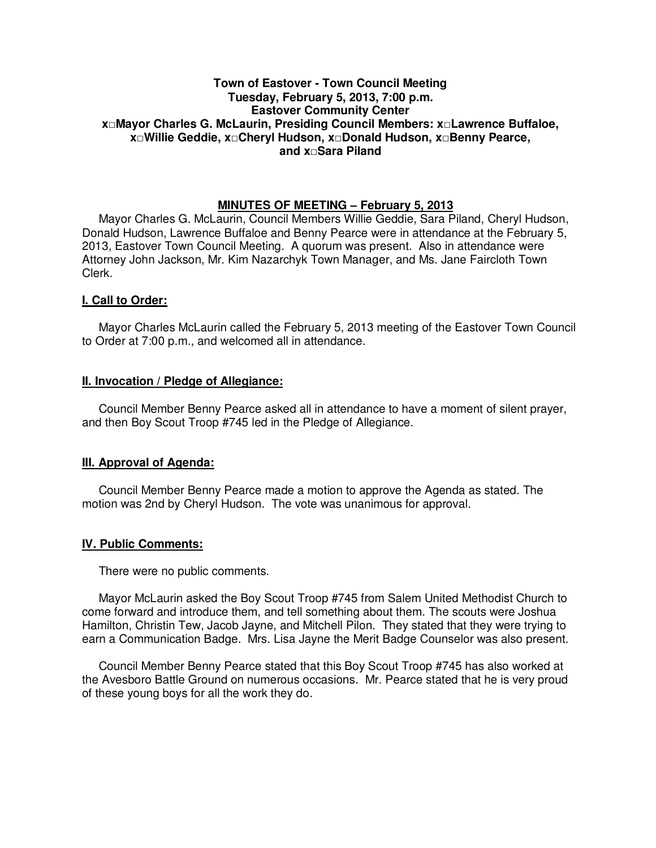## **Town of Eastover - Town Council Meeting Tuesday, February 5, 2013, 7:00 p.m. Eastover Community Center x□Mayor Charles G. McLaurin, Presiding Council Members: x□Lawrence Buffaloe, x□Willie Geddie, x□Cheryl Hudson, x□Donald Hudson, x□Benny Pearce, and x□Sara Piland**

## **MINUTES OF MEETING – February 5, 2013**

Mayor Charles G. McLaurin, Council Members Willie Geddie, Sara Piland, Cheryl Hudson, Donald Hudson, Lawrence Buffaloe and Benny Pearce were in attendance at the February 5, 2013, Eastover Town Council Meeting. A quorum was present. Also in attendance were Attorney John Jackson, Mr. Kim Nazarchyk Town Manager, and Ms. Jane Faircloth Town Clerk.

### **I. Call to Order:**

Mayor Charles McLaurin called the February 5, 2013 meeting of the Eastover Town Council to Order at 7:00 p.m., and welcomed all in attendance.

### **II. Invocation / Pledge of Allegiance:**

 Council Member Benny Pearce asked all in attendance to have a moment of silent prayer, and then Boy Scout Troop #745 led in the Pledge of Allegiance.

# **III. Approval of Agenda:**

 Council Member Benny Pearce made a motion to approve the Agenda as stated. The motion was 2nd by Cheryl Hudson. The vote was unanimous for approval.

### **IV. Public Comments:**

There were no public comments.

 Mayor McLaurin asked the Boy Scout Troop #745 from Salem United Methodist Church to come forward and introduce them, and tell something about them. The scouts were Joshua Hamilton, Christin Tew, Jacob Jayne, and Mitchell Pilon. They stated that they were trying to earn a Communication Badge. Mrs. Lisa Jayne the Merit Badge Counselor was also present.

 Council Member Benny Pearce stated that this Boy Scout Troop #745 has also worked at the Avesboro Battle Ground on numerous occasions. Mr. Pearce stated that he is very proud of these young boys for all the work they do.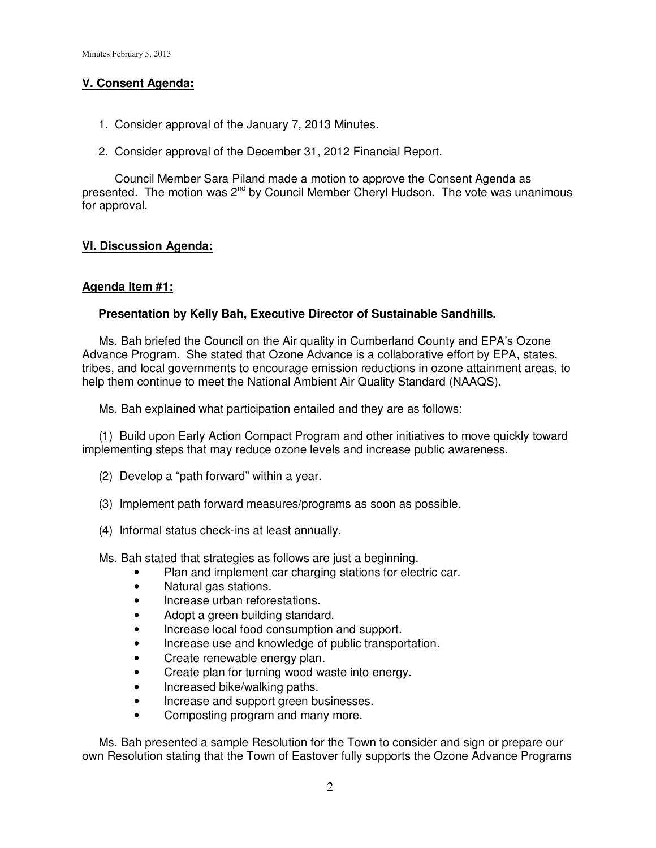## **V. Consent Agenda:**

- 1. Consider approval of the January 7, 2013 Minutes.
- 2. Consider approval of the December 31, 2012 Financial Report.

 Council Member Sara Piland made a motion to approve the Consent Agenda as presented. The motion was  $2^{nd}$  by Council Member Cheryl Hudson. The vote was unanimous for approval.

# **VI. Discussion Agenda:**

# **Agenda Item #1:**

## **Presentation by Kelly Bah, Executive Director of Sustainable Sandhills.**

Ms. Bah briefed the Council on the Air quality in Cumberland County and EPA's Ozone Advance Program. She stated that Ozone Advance is a collaborative effort by EPA, states, tribes, and local governments to encourage emission reductions in ozone attainment areas, to help them continue to meet the National Ambient Air Quality Standard (NAAQS).

Ms. Bah explained what participation entailed and they are as follows:

 (1) Build upon Early Action Compact Program and other initiatives to move quickly toward implementing steps that may reduce ozone levels and increase public awareness.

- (2) Develop a "path forward" within a year.
- (3) Implement path forward measures/programs as soon as possible.
- (4) Informal status check-ins at least annually.

Ms. Bah stated that strategies as follows are just a beginning.

- Plan and implement car charging stations for electric car.
- Natural gas stations.
- Increase urban reforestations.
- Adopt a green building standard.
- Increase local food consumption and support.
- Increase use and knowledge of public transportation.
- Create renewable energy plan.
- Create plan for turning wood waste into energy.
- Increased bike/walking paths.
- Increase and support green businesses.
- Composting program and many more.

 Ms. Bah presented a sample Resolution for the Town to consider and sign or prepare our own Resolution stating that the Town of Eastover fully supports the Ozone Advance Programs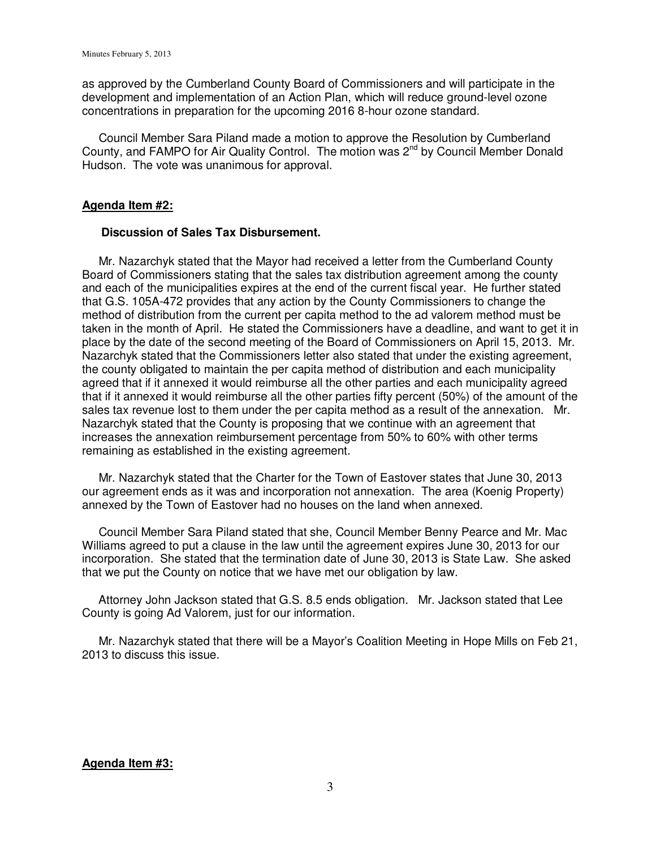as approved by the Cumberland County Board of Commissioners and will participate in the development and implementation of an Action Plan, which will reduce ground-level ozone concentrations in preparation for the upcoming 2016 8-hour ozone standard.

 Council Member Sara Piland made a motion to approve the Resolution by Cumberland County, and FAMPO for Air Quality Control. The motion was  $2^{nd}$  by Council Member Donald Hudson. The vote was unanimous for approval.

#### **Agenda Item #2:**

#### **Discussion of Sales Tax Disbursement.**

 Mr. Nazarchyk stated that the Mayor had received a letter from the Cumberland County Board of Commissioners stating that the sales tax distribution agreement among the county and each of the municipalities expires at the end of the current fiscal year. He further stated that G.S. 105A-472 provides that any action by the County Commissioners to change the method of distribution from the current per capita method to the ad valorem method must be taken in the month of April. He stated the Commissioners have a deadline, and want to get it in place by the date of the second meeting of the Board of Commissioners on April 15, 2013. Mr. Nazarchyk stated that the Commissioners letter also stated that under the existing agreement, the county obligated to maintain the per capita method of distribution and each municipality agreed that if it annexed it would reimburse all the other parties and each municipality agreed that if it annexed it would reimburse all the other parties fifty percent (50%) of the amount of the sales tax revenue lost to them under the per capita method as a result of the annexation. Mr. Nazarchyk stated that the County is proposing that we continue with an agreement that increases the annexation reimbursement percentage from 50% to 60% with other terms remaining as established in the existing agreement.

 Mr. Nazarchyk stated that the Charter for the Town of Eastover states that June 30, 2013 our agreement ends as it was and incorporation not annexation. The area (Koenig Property) annexed by the Town of Eastover had no houses on the land when annexed.

 Council Member Sara Piland stated that she, Council Member Benny Pearce and Mr. Mac Williams agreed to put a clause in the law until the agreement expires June 30, 2013 for our incorporation. She stated that the termination date of June 30, 2013 is State Law. She asked that we put the County on notice that we have met our obligation by law.

 Attorney John Jackson stated that G.S. 8.5 ends obligation. Mr. Jackson stated that Lee County is going Ad Valorem, just for our information.

 Mr. Nazarchyk stated that there will be a Mayor's Coalition Meeting in Hope Mills on Feb 21, 2013 to discuss this issue.

#### **Agenda Item #3:**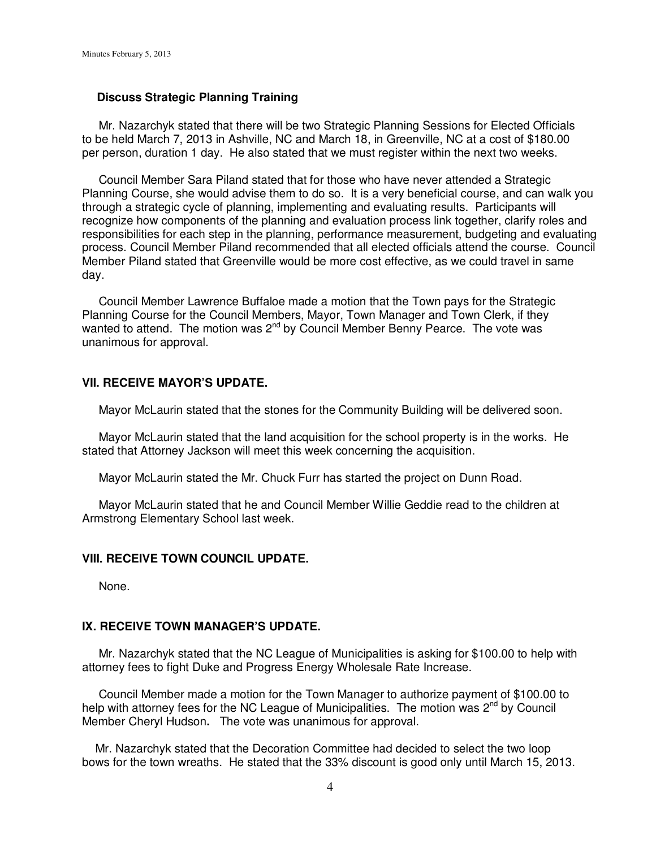### **Discuss Strategic Planning Training**

 Mr. Nazarchyk stated that there will be two Strategic Planning Sessions for Elected Officials to be held March 7, 2013 in Ashville, NC and March 18, in Greenville, NC at a cost of \$180.00 per person, duration 1 day. He also stated that we must register within the next two weeks.

 Council Member Sara Piland stated that for those who have never attended a Strategic Planning Course, she would advise them to do so. It is a very beneficial course, and can walk you through a strategic cycle of planning, implementing and evaluating results. Participants will recognize how components of the planning and evaluation process link together, clarify roles and responsibilities for each step in the planning, performance measurement, budgeting and evaluating process. Council Member Piland recommended that all elected officials attend the course. Council Member Piland stated that Greenville would be more cost effective, as we could travel in same day.

 Council Member Lawrence Buffaloe made a motion that the Town pays for the Strategic Planning Course for the Council Members, Mayor, Town Manager and Town Clerk, if they wanted to attend. The motion was 2nd by Council Member Benny Pearce.The vote was unanimous for approval.

## **VII. RECEIVE MAYOR'S UPDATE.**

Mayor McLaurin stated that the stones for the Community Building will be delivered soon.

 Mayor McLaurin stated that the land acquisition for the school property is in the works. He stated that Attorney Jackson will meet this week concerning the acquisition.

Mayor McLaurin stated the Mr. Chuck Furr has started the project on Dunn Road.

 Mayor McLaurin stated that he and Council Member Willie Geddie read to the children at Armstrong Elementary School last week.

#### **VIII. RECEIVE TOWN COUNCIL UPDATE.**

None.

### **IX. RECEIVE TOWN MANAGER'S UPDATE.**

 Mr. Nazarchyk stated that the NC League of Municipalities is asking for \$100.00 to help with attorney fees to fight Duke and Progress Energy Wholesale Rate Increase.

 Council Member made a motion for the Town Manager to authorize payment of \$100.00 to help with attorney fees for the NC League of Municipalities. The motion was 2<sup>nd</sup> by Council Member Cheryl Hudson**.** The vote was unanimous for approval.

 Mr. Nazarchyk stated that the Decoration Committee had decided to select the two loop bows for the town wreaths. He stated that the 33% discount is good only until March 15, 2013.